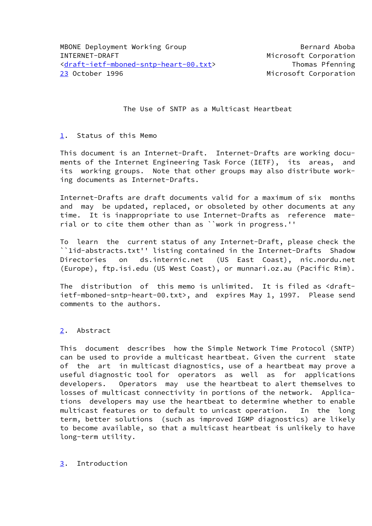The Use of SNTP as a Multicast Heartbeat

## <span id="page-0-1"></span><span id="page-0-0"></span>[1.](#page-0-1) Status of this Memo

 This document is an Internet-Draft. Internet-Drafts are working docu ments of the Internet Engineering Task Force (IETF), its areas, and its working groups. Note that other groups may also distribute work ing documents as Internet-Drafts.

 Internet-Drafts are draft documents valid for a maximum of six months and may be updated, replaced, or obsoleted by other documents at any time. It is inappropriate to use Internet-Drafts as reference mate rial or to cite them other than as ``work in progress.''

 To learn the current status of any Internet-Draft, please check the ``1id-abstracts.txt'' listing contained in the Internet-Drafts Shadow Directories on ds.internic.net (US East Coast), nic.nordu.net (Europe), ftp.isi.edu (US West Coast), or munnari.oz.au (Pacific Rim).

The distribution of this memo is unlimited. It is filed as <draft ietf-mboned-sntp-heart-00.txt>, and expires May 1, 1997. Please send comments to the authors.

# <span id="page-0-2"></span>[2.](#page-0-2) Abstract

 This document describes how the Simple Network Time Protocol (SNTP) can be used to provide a multicast heartbeat. Given the current state of the art in multicast diagnostics, use of a heartbeat may prove a useful diagnostic tool for operators as well as for applications developers. Operators may use the heartbeat to alert themselves to losses of multicast connectivity in portions of the network. Applica tions developers may use the heartbeat to determine whether to enable multicast features or to default to unicast operation. In the long term, better solutions (such as improved IGMP diagnostics) are likely to become available, so that a multicast heartbeat is unlikely to have long-term utility.

## <span id="page-0-3"></span>[3.](#page-0-3) Introduction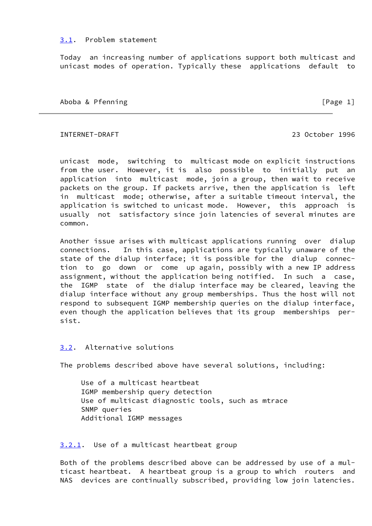#### <span id="page-1-0"></span>[3.1](#page-1-0). Problem statement

 Today an increasing number of applications support both multicast and unicast modes of operation. Typically these applications default to

Aboba & Pfenning [Page 1]

INTERNET-DRAFT 23 October 1996

 unicast mode, switching to multicast mode on explicit instructions from the user. However, it is also possible to initially put an application into multicast mode, join a group, then wait to receive packets on the group. If packets arrive, then the application is left in multicast mode; otherwise, after a suitable timeout interval, the application is switched to unicast mode. However, this approach is usually not satisfactory since join latencies of several minutes are common.

 Another issue arises with multicast applications running over dialup connections. In this case, applications are typically unaware of the state of the dialup interface; it is possible for the dialup connec tion to go down or come up again, possibly with a new IP address assignment, without the application being notified. In such a case, the IGMP state of the dialup interface may be cleared, leaving the dialup interface without any group memberships. Thus the host will not respond to subsequent IGMP membership queries on the dialup interface, even though the application believes that its group memberships per sist.

# <span id="page-1-1"></span>[3.2](#page-1-1). Alternative solutions

The problems described above have several solutions, including:

 Use of a multicast heartbeat IGMP membership query detection Use of multicast diagnostic tools, such as mtrace SNMP queries Additional IGMP messages

## <span id="page-1-2"></span>[3.2.1.](#page-1-2) Use of a multicast heartbeat group

 Both of the problems described above can be addressed by use of a mul ticast heartbeat. A heartbeat group is a group to which routers and NAS devices are continually subscribed, providing low join latencies.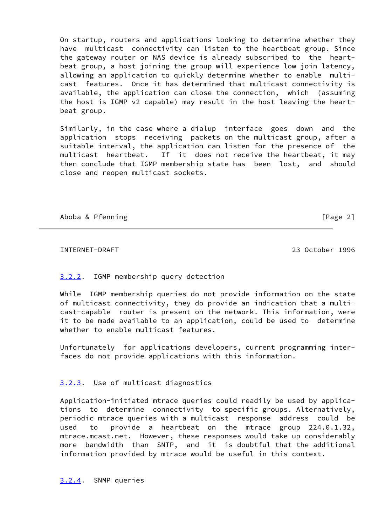On startup, routers and applications looking to determine whether they have multicast connectivity can listen to the heartbeat group. Since the gateway router or NAS device is already subscribed to the heart beat group, a host joining the group will experience low join latency, allowing an application to quickly determine whether to enable multi cast features. Once it has determined that multicast connectivity is available, the application can close the connection, which (assuming the host is IGMP v2 capable) may result in the host leaving the heart beat group.

 Similarly, in the case where a dialup interface goes down and the application stops receiving packets on the multicast group, after a suitable interval, the application can listen for the presence of the multicast heartbeat. If it does not receive the heartbeat, it may then conclude that IGMP membership state has been lost, and should close and reopen multicast sockets.

Aboba & Pfenning **contract in the example of the example of the example of the example of Page 2**]

INTERNET-DRAFT 23 October 1996

# <span id="page-2-0"></span>[3.2.2.](#page-2-0) IGMP membership query detection

 While IGMP membership queries do not provide information on the state of multicast connectivity, they do provide an indication that a multi cast-capable router is present on the network. This information, were it to be made available to an application, could be used to determine whether to enable multicast features.

 Unfortunately for applications developers, current programming inter faces do not provide applications with this information.

# <span id="page-2-1"></span>[3.2.3.](#page-2-1) Use of multicast diagnostics

 Application-initiated mtrace queries could readily be used by applica tions to determine connectivity to specific groups. Alternatively, periodic mtrace queries with a multicast response address could be used to provide a heartbeat on the mtrace group 224.0.1.32, mtrace.mcast.net. However, these responses would take up considerably more bandwidth than SNTP, and it is doubtful that the additional information provided by mtrace would be useful in this context.

<span id="page-2-2"></span>[3.2.4.](#page-2-2) SNMP queries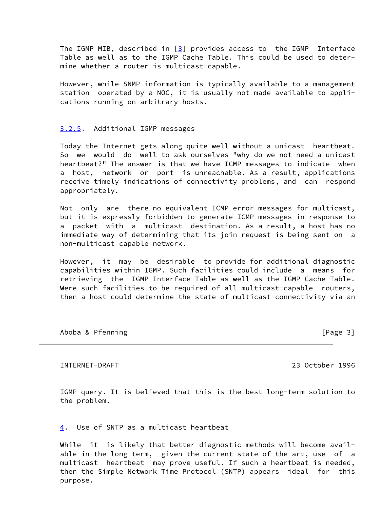The IGMP MIB, described in  $[3]$  provides access to the IGMP Interface Table as well as to the IGMP Cache Table. This could be used to deter mine whether a router is multicast-capable.

 However, while SNMP information is typically available to a management station operated by a NOC, it is usually not made available to appli cations running on arbitrary hosts.

#### <span id="page-3-0"></span>[3.2.5.](#page-3-0) Additional IGMP messages

 Today the Internet gets along quite well without a unicast heartbeat. So we would do well to ask ourselves "why do we not need a unicast heartbeat?" The answer is that we have ICMP messages to indicate when a host, network or port is unreachable. As a result, applications receive timely indications of connectivity problems, and can respond appropriately.

 Not only are there no equivalent ICMP error messages for multicast, but it is expressly forbidden to generate ICMP messages in response to a packet with a multicast destination. As a result, a host has no immediate way of determining that its join request is being sent on a non-multicast capable network.

 However, it may be desirable to provide for additional diagnostic capabilities within IGMP. Such facilities could include a means for retrieving the IGMP Interface Table as well as the IGMP Cache Table. Were such facilities to be required of all multicast-capable routers, then a host could determine the state of multicast connectivity via an

Aboba & Pfenning **contract in the example of the example of the example of the example of Page 3** 

INTERNET-DRAFT 23 October 1996

 IGMP query. It is believed that this is the best long-term solution to the problem.

<span id="page-3-1"></span>[4.](#page-3-1) Use of SNTP as a multicast heartbeat

While it is likely that better diagnostic methods will become avail able in the long term, given the current state of the art, use of a multicast heartbeat may prove useful. If such a heartbeat is needed, then the Simple Network Time Protocol (SNTP) appears ideal for this purpose.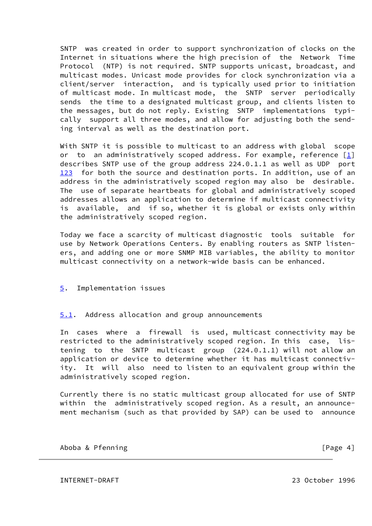SNTP was created in order to support synchronization of clocks on the Internet in situations where the high precision of the Network Time Protocol (NTP) is not required. SNTP supports unicast, broadcast, and multicast modes. Unicast mode provides for clock synchronization via a client/server interaction, and is typically used prior to initiation of multicast mode. In multicast mode, the SNTP server periodically sends the time to a designated multicast group, and clients listen to the messages, but do not reply. Existing SNTP implementations typi cally support all three modes, and allow for adjusting both the send ing interval as well as the destination port.

<span id="page-4-0"></span> With SNTP it is possible to multicast to an address with global scope or to an administratively scoped address. For example, reference  $[1]$  describes SNTP use of the group address 224.0.1.1 as well as UDP port [123](#page-4-0) for both the source and destination ports. In addition, use of an address in the administratively scoped region may also be desirable. The use of separate heartbeats for global and administratively scoped addresses allows an application to determine if multicast connectivity is available, and if so, whether it is global or exists only within the administratively scoped region.

 Today we face a scarcity of multicast diagnostic tools suitable for use by Network Operations Centers. By enabling routers as SNTP listen ers, and adding one or more SNMP MIB variables, the ability to monitor multicast connectivity on a network-wide basis can be enhanced.

## <span id="page-4-1"></span>[5.](#page-4-1) Implementation issues

## <span id="page-4-2"></span>[5.1](#page-4-2). Address allocation and group announcements

 In cases where a firewall is used, multicast connectivity may be restricted to the administratively scoped region. In this case, lis tening to the SNTP multicast group (224.0.1.1) will not allow an application or device to determine whether it has multicast connectiv ity. It will also need to listen to an equivalent group within the administratively scoped region.

 Currently there is no static multicast group allocated for use of SNTP within the administratively scoped region. As a result, an announce ment mechanism (such as that provided by SAP) can be used to announce

Aboba & Pfenning [Page 4]

INTERNET-DRAFT 23 October 1996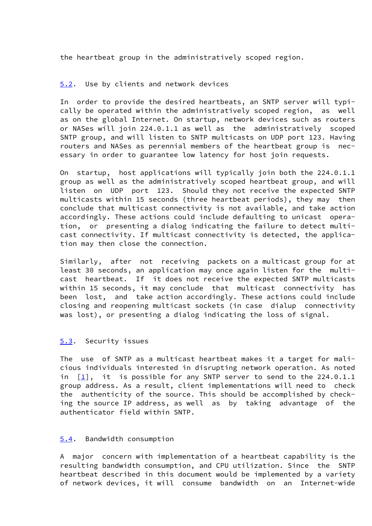the heartbeat group in the administratively scoped region.

## <span id="page-5-0"></span>[5.2](#page-5-0). Use by clients and network devices

 In order to provide the desired heartbeats, an SNTP server will typi cally be operated within the administratively scoped region, as well as on the global Internet. On startup, network devices such as routers or NASes will join 224.0.1.1 as well as the administratively scoped SNTP group, and will listen to SNTP multicasts on UDP port 123. Having routers and NASes as perennial members of the heartbeat group is nec essary in order to guarantee low latency for host join requests.

 On startup, host applications will typically join both the 224.0.1.1 group as well as the administratively scoped heartbeat group, and will listen on UDP port 123. Should they not receive the expected SNTP multicasts within 15 seconds (three heartbeat periods), they may then conclude that multicast connectivity is not available, and take action accordingly. These actions could include defaulting to unicast opera tion, or presenting a dialog indicating the failure to detect multi cast connectivity. If multicast connectivity is detected, the applica tion may then close the connection.

 Similarly, after not receiving packets on a multicast group for at least 30 seconds, an application may once again listen for the multi cast heartbeat. If it does not receive the expected SNTP multicasts within 15 seconds, it may conclude that multicast connectivity has been lost, and take action accordingly. These actions could include closing and reopening multicast sockets (in case dialup connectivity was lost), or presenting a dialog indicating the loss of signal.

## <span id="page-5-1"></span>[5.3](#page-5-1). Security issues

 The use of SNTP as a multicast heartbeat makes it a target for mali cious individuals interested in disrupting network operation. As noted in  $[\underline{1}]$ , it is possible for any SNTP server to send to the 224.0.1.1 group address. As a result, client implementations will need to check the authenticity of the source. This should be accomplished by check ing the source IP address, as well as by taking advantage of the authenticator field within SNTP.

#### <span id="page-5-2"></span>[5.4](#page-5-2). Bandwidth consumption

 A major concern with implementation of a heartbeat capability is the resulting bandwidth consumption, and CPU utilization. Since the SNTP heartbeat described in this document would be implemented by a variety of network devices, it will consume bandwidth on an Internet-wide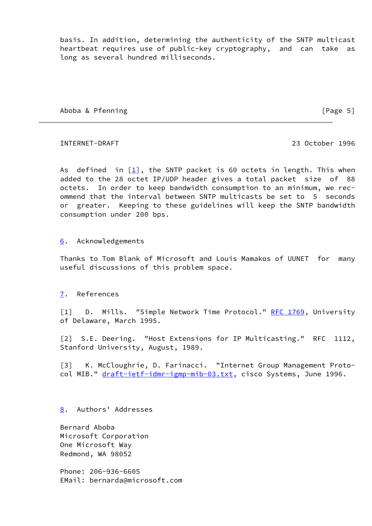basis. In addition, determining the authenticity of the SNTP multicast heartbeat requires use of public-key cryptography, and can take as long as several hundred milliseconds.

Aboba & Pfenning [Page 5]

INTERNET-DRAFT 23 October 1996

As defined in  $[\underline{1}]$ , the SNTP packet is 60 octets in length. This when added to the 28 octet IP/UDP header gives a total packet size of 88 octets. In order to keep bandwidth consumption to an minimum, we rec ommend that the interval between SNTP multicasts be set to 5 seconds or greater. Keeping to these guidelines will keep the SNTP bandwidth consumption under 200 bps.

## <span id="page-6-2"></span>[6.](#page-6-2) Acknowledgements

 Thanks to Tom Blank of Microsoft and Louis Mamakos of UUNET for many useful discussions of this problem space.

## <span id="page-6-3"></span>[7.](#page-6-3) References

<span id="page-6-1"></span>[1] D. Mills. "Simple Network Time Protocol." <u>RFC 1769</u>, University of Delaware, March 1995.

 [2] S.E. Deering. "Host Extensions for IP Multicasting." RFC 1112, Stanford University, August, 1989.

<span id="page-6-0"></span> [3] K. McCloughrie, D. Farinacci. "Internet Group Management Proto col MIB." [draft-ietf-idmr-igmp-mib-03.txt,](https://datatracker.ietf.org/doc/pdf/draft-ietf-idmr-igmp-mib-03.txt) cisco Systems, June 1996.

## <span id="page-6-4"></span>[8.](#page-6-4) Authors' Addresses

 Bernard Aboba Microsoft Corporation One Microsoft Way Redmond, WA 98052

 Phone: 206-936-6605 EMail: bernarda@microsoft.com